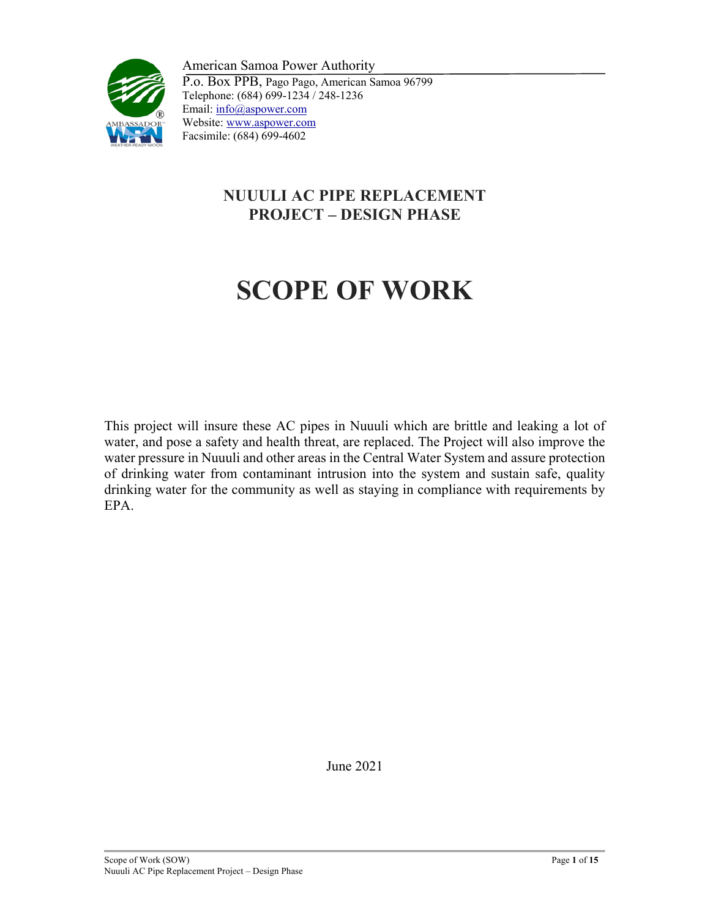

American Samoa Power Authority P.o. Box PPB, Pago Pago, American Samoa 96799 Telephone: (684) 699-1234 / 248-1236 Email: info@aspower.com Website: www.aspower.com Facsimile: (684) 699-4602

# **NUUULI AC PIPE REPLACEMENT PROJECT – DESIGN PHASE**

# **SCOPE OF WORK**

This project will insure these AC pipes in Nuuuli which are brittle and leaking a lot of water, and pose a safety and health threat, are replaced. The Project will also improve the water pressure in Nuuuli and other areas in the Central Water System and assure protection of drinking water from contaminant intrusion into the system and sustain safe, quality drinking water for the community as well as staying in compliance with requirements by EPA.

June 2021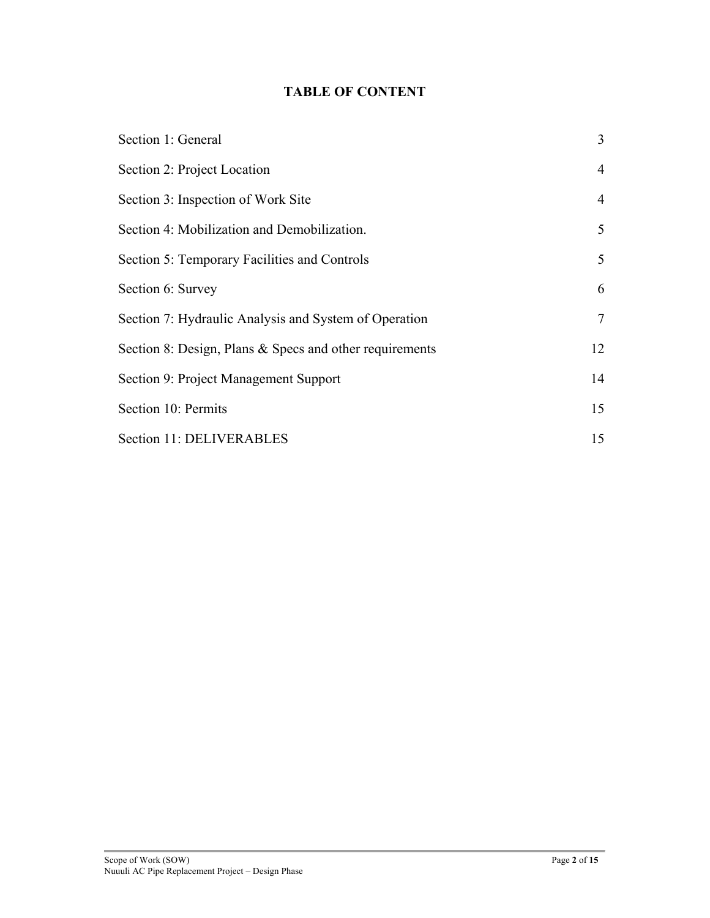## **TABLE OF CONTENT**

| Section 1: General                                      | 3              |
|---------------------------------------------------------|----------------|
| Section 2: Project Location                             | $\overline{4}$ |
| Section 3: Inspection of Work Site                      | $\overline{4}$ |
| Section 4: Mobilization and Demobilization.             | 5              |
| Section 5: Temporary Facilities and Controls            | 5              |
| Section 6: Survey                                       | 6              |
| Section 7: Hydraulic Analysis and System of Operation   | 7              |
| Section 8: Design, Plans & Specs and other requirements | 12             |
| Section 9: Project Management Support                   | 14             |
| Section 10: Permits                                     | 15             |
| Section 11: DELIVERABLES                                | 15             |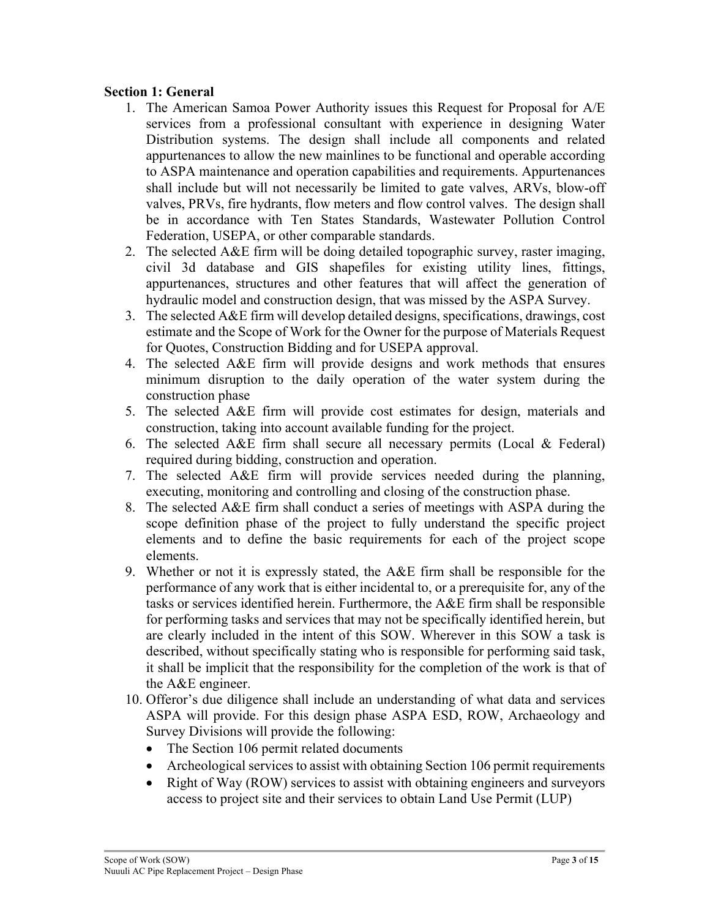#### **Section 1: General**

- 1. The American Samoa Power Authority issues this Request for Proposal for A/E services from a professional consultant with experience in designing Water Distribution systems. The design shall include all components and related appurtenances to allow the new mainlines to be functional and operable according to ASPA maintenance and operation capabilities and requirements. Appurtenances shall include but will not necessarily be limited to gate valves, ARVs, blow-off valves, PRVs, fire hydrants, flow meters and flow control valves. The design shall be in accordance with Ten States Standards, Wastewater Pollution Control Federation, USEPA, or other comparable standards.
- 2. The selected A&E firm will be doing detailed topographic survey, raster imaging, civil 3d database and GIS shapefiles for existing utility lines, fittings, appurtenances, structures and other features that will affect the generation of hydraulic model and construction design, that was missed by the ASPA Survey.
- 3. The selected A&E firm will develop detailed designs, specifications, drawings, cost estimate and the Scope of Work for the Owner for the purpose of Materials Request for Quotes, Construction Bidding and for USEPA approval.
- 4. The selected A&E firm will provide designs and work methods that ensures minimum disruption to the daily operation of the water system during the construction phase
- 5. The selected A&E firm will provide cost estimates for design, materials and construction, taking into account available funding for the project.
- 6. The selected  $A \& E$  firm shall secure all necessary permits (Local  $\& F$ ederal) required during bidding, construction and operation.
- 7. The selected A&E firm will provide services needed during the planning, executing, monitoring and controlling and closing of the construction phase.
- 8. The selected A&E firm shall conduct a series of meetings with ASPA during the scope definition phase of the project to fully understand the specific project elements and to define the basic requirements for each of the project scope elements.
- 9. Whether or not it is expressly stated, the A&E firm shall be responsible for the performance of any work that is either incidental to, or a prerequisite for, any of the tasks or services identified herein. Furthermore, the A&E firm shall be responsible for performing tasks and services that may not be specifically identified herein, but are clearly included in the intent of this SOW. Wherever in this SOW a task is described, without specifically stating who is responsible for performing said task, it shall be implicit that the responsibility for the completion of the work is that of the A&E engineer.
- 10. Offeror's due diligence shall include an understanding of what data and services ASPA will provide. For this design phase ASPA ESD, ROW, Archaeology and Survey Divisions will provide the following:
	- The Section 106 permit related documents
	- Archeological services to assist with obtaining Section 106 permit requirements
	- Right of Way (ROW) services to assist with obtaining engineers and surveyors access to project site and their services to obtain Land Use Permit (LUP)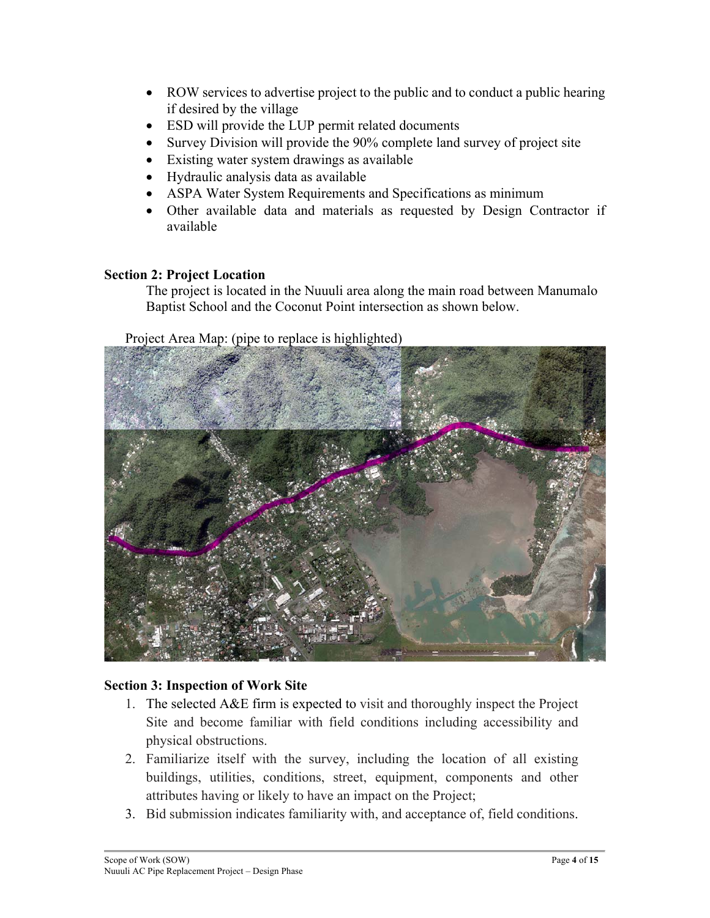- ROW services to advertise project to the public and to conduct a public hearing if desired by the village
- ESD will provide the LUP permit related documents
- Survey Division will provide the 90% complete land survey of project site
- Existing water system drawings as available
- Hydraulic analysis data as available
- ASPA Water System Requirements and Specifications as minimum
- Other available data and materials as requested by Design Contractor if available

## **Section 2: Project Location**

The project is located in the Nuuuli area along the main road between Manumalo Baptist School and the Coconut Point intersection as shown below.

Project Area Map: (pipe to replace is highlighted)



### **Section 3: Inspection of Work Site**

- 1. The selected A&E firm is expected to visit and thoroughly inspect the Project Site and become familiar with field conditions including accessibility and physical obstructions.
- 2. Familiarize itself with the survey, including the location of all existing buildings, utilities, conditions, street, equipment, components and other attributes having or likely to have an impact on the Project;
- 3. Bid submission indicates familiarity with, and acceptance of, field conditions.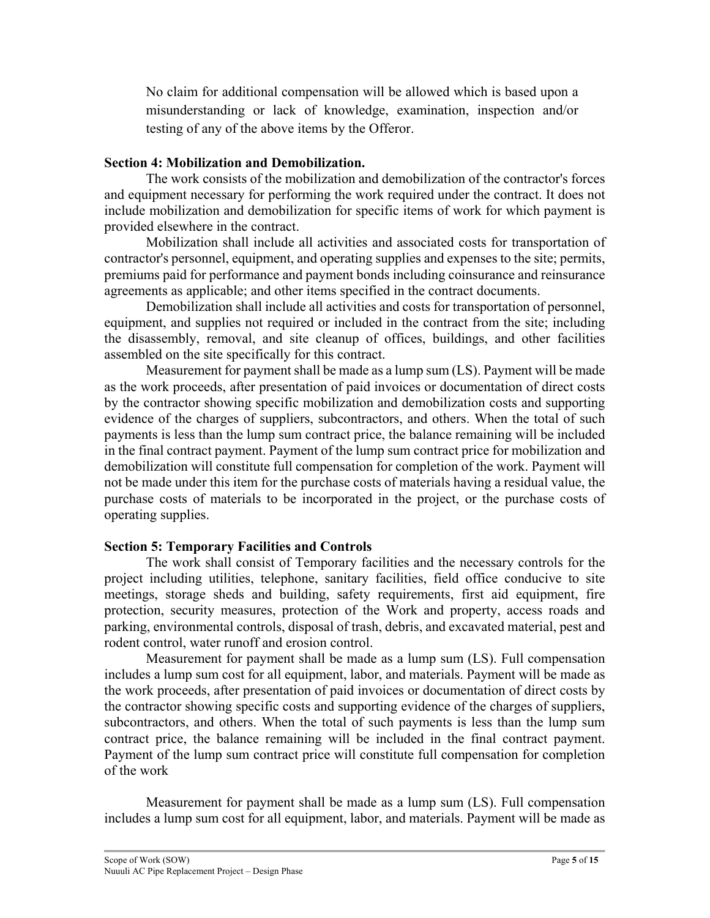No claim for additional compensation will be allowed which is based upon a misunderstanding or lack of knowledge, examination, inspection and/or testing of any of the above items by the Offeror.

#### **Section 4: Mobilization and Demobilization.**

The work consists of the mobilization and demobilization of the contractor's forces and equipment necessary for performing the work required under the contract. It does not include mobilization and demobilization for specific items of work for which payment is provided elsewhere in the contract.

Mobilization shall include all activities and associated costs for transportation of contractor's personnel, equipment, and operating supplies and expenses to the site; permits, premiums paid for performance and payment bonds including coinsurance and reinsurance agreements as applicable; and other items specified in the contract documents.

Demobilization shall include all activities and costs for transportation of personnel, equipment, and supplies not required or included in the contract from the site; including the disassembly, removal, and site cleanup of offices, buildings, and other facilities assembled on the site specifically for this contract.

Measurement for payment shall be made as a lump sum (LS). Payment will be made as the work proceeds, after presentation of paid invoices or documentation of direct costs by the contractor showing specific mobilization and demobilization costs and supporting evidence of the charges of suppliers, subcontractors, and others. When the total of such payments is less than the lump sum contract price, the balance remaining will be included in the final contract payment. Payment of the lump sum contract price for mobilization and demobilization will constitute full compensation for completion of the work. Payment will not be made under this item for the purchase costs of materials having a residual value, the purchase costs of materials to be incorporated in the project, or the purchase costs of operating supplies.

### **Section 5: Temporary Facilities and Controls**

The work shall consist of Temporary facilities and the necessary controls for the project including utilities, telephone, sanitary facilities, field office conducive to site meetings, storage sheds and building, safety requirements, first aid equipment, fire protection, security measures, protection of the Work and property, access roads and parking, environmental controls, disposal of trash, debris, and excavated material, pest and rodent control, water runoff and erosion control.

Measurement for payment shall be made as a lump sum (LS). Full compensation includes a lump sum cost for all equipment, labor, and materials. Payment will be made as the work proceeds, after presentation of paid invoices or documentation of direct costs by the contractor showing specific costs and supporting evidence of the charges of suppliers, subcontractors, and others. When the total of such payments is less than the lump sum contract price, the balance remaining will be included in the final contract payment. Payment of the lump sum contract price will constitute full compensation for completion of the work

Measurement for payment shall be made as a lump sum (LS). Full compensation includes a lump sum cost for all equipment, labor, and materials. Payment will be made as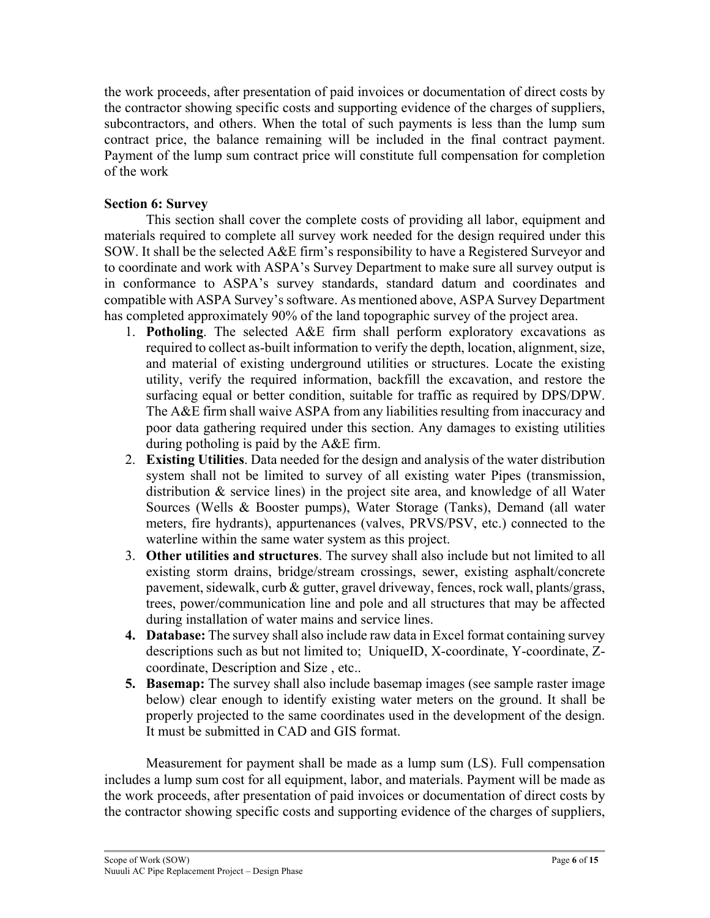the work proceeds, after presentation of paid invoices or documentation of direct costs by the contractor showing specific costs and supporting evidence of the charges of suppliers, subcontractors, and others. When the total of such payments is less than the lump sum contract price, the balance remaining will be included in the final contract payment. Payment of the lump sum contract price will constitute full compensation for completion of the work

### **Section 6: Survey**

This section shall cover the complete costs of providing all labor, equipment and materials required to complete all survey work needed for the design required under this SOW. It shall be the selected A&E firm's responsibility to have a Registered Surveyor and to coordinate and work with ASPA's Survey Department to make sure all survey output is in conformance to ASPA's survey standards, standard datum and coordinates and compatible with ASPA Survey's software. As mentioned above, ASPA Survey Department has completed approximately 90% of the land topographic survey of the project area.

- 1. **Potholing**. The selected A&E firm shall perform exploratory excavations as required to collect as-built information to verify the depth, location, alignment, size, and material of existing underground utilities or structures. Locate the existing utility, verify the required information, backfill the excavation, and restore the surfacing equal or better condition, suitable for traffic as required by DPS/DPW. The A&E firm shall waive ASPA from any liabilities resulting from inaccuracy and poor data gathering required under this section. Any damages to existing utilities during potholing is paid by the A&E firm.
- 2. **Existing Utilities**. Data needed for the design and analysis of the water distribution system shall not be limited to survey of all existing water Pipes (transmission, distribution & service lines) in the project site area, and knowledge of all Water Sources (Wells & Booster pumps), Water Storage (Tanks), Demand (all water meters, fire hydrants), appurtenances (valves, PRVS/PSV, etc.) connected to the waterline within the same water system as this project.
- 3. **Other utilities and structures**. The survey shall also include but not limited to all existing storm drains, bridge/stream crossings, sewer, existing asphalt/concrete pavement, sidewalk, curb & gutter, gravel driveway, fences, rock wall, plants/grass, trees, power/communication line and pole and all structures that may be affected during installation of water mains and service lines.
- **4. Database:** The survey shall also include raw data in Excel format containing survey descriptions such as but not limited to; UniqueID, X-coordinate, Y-coordinate, Zcoordinate, Description and Size , etc..
- **5. Basemap:** The survey shall also include basemap images (see sample raster image below) clear enough to identify existing water meters on the ground. It shall be properly projected to the same coordinates used in the development of the design. It must be submitted in CAD and GIS format.

Measurement for payment shall be made as a lump sum (LS). Full compensation includes a lump sum cost for all equipment, labor, and materials. Payment will be made as the work proceeds, after presentation of paid invoices or documentation of direct costs by the contractor showing specific costs and supporting evidence of the charges of suppliers,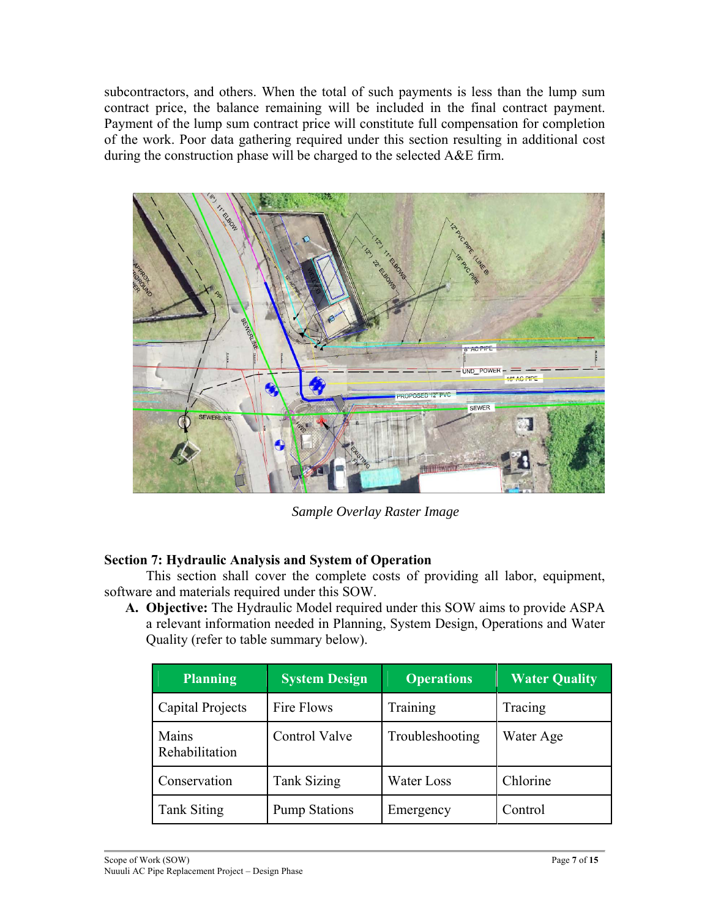subcontractors, and others. When the total of such payments is less than the lump sum contract price, the balance remaining will be included in the final contract payment. Payment of the lump sum contract price will constitute full compensation for completion of the work. Poor data gathering required under this section resulting in additional cost during the construction phase will be charged to the selected A&E firm.



*Sample Overlay Raster Image* 

## **Section 7: Hydraulic Analysis and System of Operation**

This section shall cover the complete costs of providing all labor, equipment, software and materials required under this SOW.

**A. Objective:** The Hydraulic Model required under this SOW aims to provide ASPA a relevant information needed in Planning, System Design, Operations and Water Quality (refer to table summary below).

| <b>Planning</b>         | <b>System Design</b> | <b>Operations</b> | <b>Water Quality</b> |
|-------------------------|----------------------|-------------------|----------------------|
| Capital Projects        | Fire Flows           | Training          | Tracing              |
| Mains<br>Rehabilitation | Control Valve        | Troubleshooting   | Water Age            |
| Conservation            | <b>Tank Sizing</b>   | <b>Water Loss</b> | Chlorine             |
| <b>Tank Siting</b>      | <b>Pump Stations</b> | Emergency         | Control              |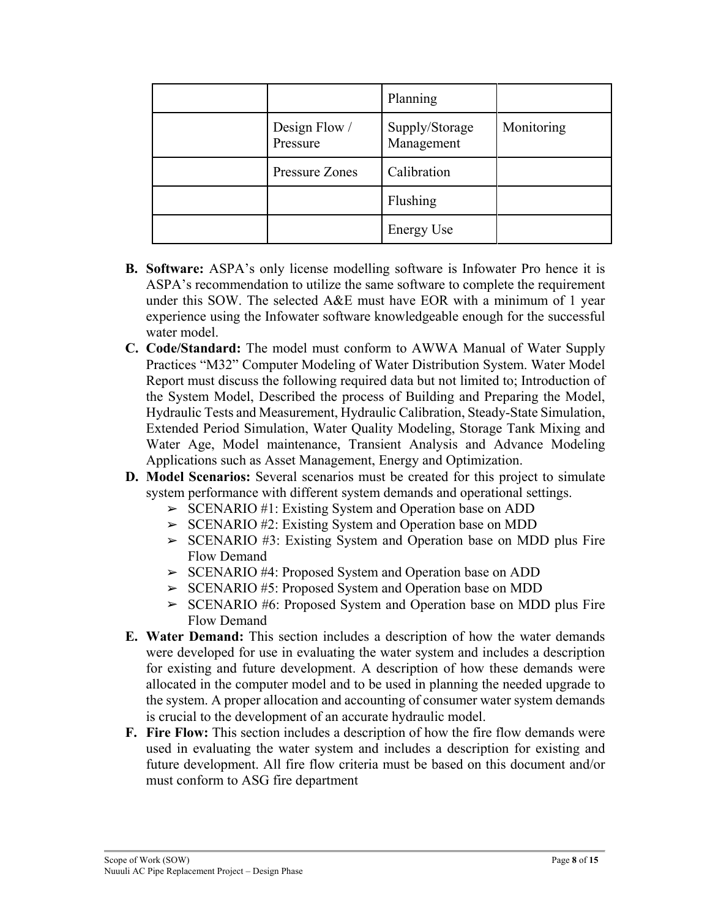|                           | Planning                     |            |
|---------------------------|------------------------------|------------|
| Design Flow /<br>Pressure | Supply/Storage<br>Management | Monitoring |
| Pressure Zones            | Calibration                  |            |
|                           | Flushing                     |            |
|                           | <b>Energy Use</b>            |            |

- **B. Software:** ASPA's only license modelling software is Infowater Pro hence it is ASPA's recommendation to utilize the same software to complete the requirement under this SOW. The selected A&E must have EOR with a minimum of 1 year experience using the Infowater software knowledgeable enough for the successful water model.
- **C. Code/Standard:** The model must conform to AWWA Manual of Water Supply Practices "M32" Computer Modeling of Water Distribution System. Water Model Report must discuss the following required data but not limited to; Introduction of the System Model, Described the process of Building and Preparing the Model, Hydraulic Tests and Measurement, Hydraulic Calibration, Steady-State Simulation, Extended Period Simulation, Water Quality Modeling, Storage Tank Mixing and Water Age, Model maintenance, Transient Analysis and Advance Modeling Applications such as Asset Management, Energy and Optimization.
- **D. Model Scenarios:** Several scenarios must be created for this project to simulate system performance with different system demands and operational settings.
	- ➢ SCENARIO #1: Existing System and Operation base on ADD
	- ➢ SCENARIO #2: Existing System and Operation base on MDD
	- ➢ SCENARIO #3: Existing System and Operation base on MDD plus Fire Flow Demand
	- ➢ SCENARIO #4: Proposed System and Operation base on ADD
	- ➢ SCENARIO #5: Proposed System and Operation base on MDD
	- ➢ SCENARIO #6: Proposed System and Operation base on MDD plus Fire Flow Demand
- **E. Water Demand:** This section includes a description of how the water demands were developed for use in evaluating the water system and includes a description for existing and future development. A description of how these demands were allocated in the computer model and to be used in planning the needed upgrade to the system. A proper allocation and accounting of consumer water system demands is crucial to the development of an accurate hydraulic model.
- **F. Fire Flow:** This section includes a description of how the fire flow demands were used in evaluating the water system and includes a description for existing and future development. All fire flow criteria must be based on this document and/or must conform to ASG fire department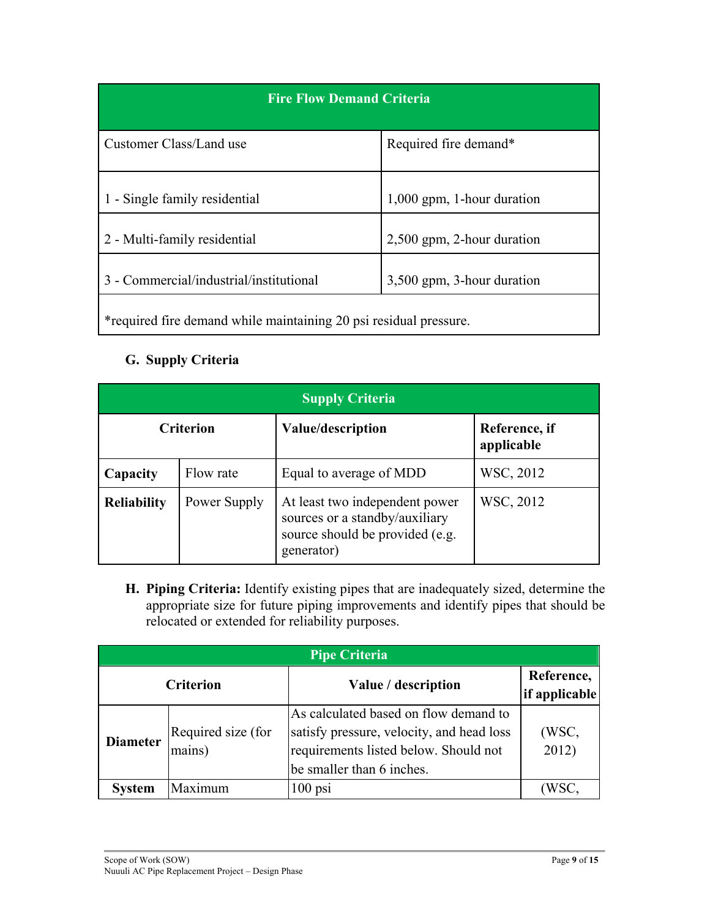| <b>Fire Flow Demand Criteria</b>                                  |                              |  |  |
|-------------------------------------------------------------------|------------------------------|--|--|
| Customer Class/Land use                                           | Required fire demand*        |  |  |
| 1 - Single family residential                                     | $1,000$ gpm, 1-hour duration |  |  |
| 2 - Multi-family residential                                      | 2,500 gpm, 2-hour duration   |  |  |
| 3 - Commercial/industrial/institutional                           | 3,500 gpm, 3-hour duration   |  |  |
| *required fire demand while maintaining 20 psi residual pressure. |                              |  |  |

# **G. Supply Criteria**

| <b>Supply Criteria</b> |                  |                                                                                                                   |                             |
|------------------------|------------------|-------------------------------------------------------------------------------------------------------------------|-----------------------------|
|                        | <b>Criterion</b> | Value/description                                                                                                 | Reference, if<br>applicable |
| Capacity               | Flow rate        | Equal to average of MDD                                                                                           | WSC, 2012                   |
| <b>Reliability</b>     | Power Supply     | At least two independent power<br>sources or a standby/auxiliary<br>source should be provided (e.g.<br>generator) | WSC, 2012                   |

**H. Piping Criteria:** Identify existing pipes that are inadequately sized, determine the appropriate size for future piping improvements and identify pipes that should be relocated or extended for reliability purposes.

| <b>Pipe Criteria</b> |                              |                                                                                                                                                          |                             |  |
|----------------------|------------------------------|----------------------------------------------------------------------------------------------------------------------------------------------------------|-----------------------------|--|
|                      | <b>Criterion</b>             | Value / description                                                                                                                                      | Reference,<br>if applicable |  |
| <b>Diameter</b>      | Required size (for<br>mains) | As calculated based on flow demand to<br>satisfy pressure, velocity, and head loss<br>requirements listed below. Should not<br>be smaller than 6 inches. | (WSC,<br>2012)              |  |
| <b>System</b>        | Maximum                      | $100$ psi                                                                                                                                                | (WSC.                       |  |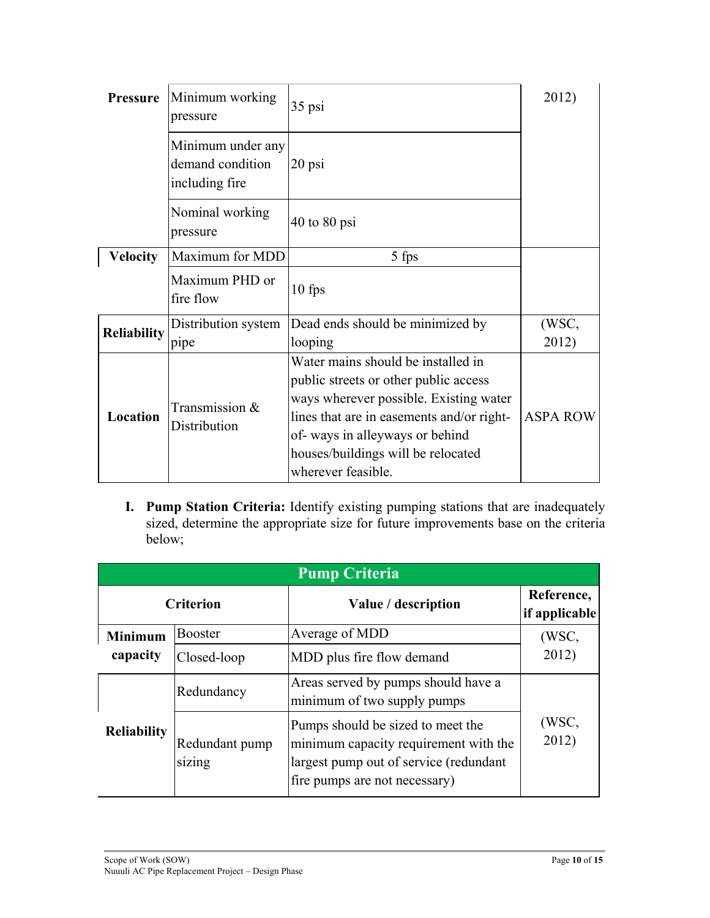| <b>Pressure</b>    | Minimum working<br>pressure                             | 35 psi                                                                                                                                                                                                                                                           | 2012)           |
|--------------------|---------------------------------------------------------|------------------------------------------------------------------------------------------------------------------------------------------------------------------------------------------------------------------------------------------------------------------|-----------------|
|                    | Minimum under any<br>demand condition<br>including fire | $20$ psi                                                                                                                                                                                                                                                         |                 |
|                    | Nominal working<br>pressure                             | $40$ to $80$ psi                                                                                                                                                                                                                                                 |                 |
| <b>Velocity</b>    | Maximum for MDD                                         | 5 fps                                                                                                                                                                                                                                                            |                 |
|                    | Maximum PHD or<br>fire flow                             | $10$ fps                                                                                                                                                                                                                                                         |                 |
| <b>Reliability</b> | Distribution system                                     | Dead ends should be minimized by                                                                                                                                                                                                                                 | (WSC,           |
|                    | pipe                                                    | looping                                                                                                                                                                                                                                                          | 2012)           |
| Location           | Transmission &<br>Distribution                          | Water mains should be installed in<br>public streets or other public access<br>ways wherever possible. Existing water<br>lines that are in easements and/or right-<br>of-ways in alleyways or behind<br>houses/buildings will be relocated<br>wherever feasible. | <b>ASPA ROW</b> |

**I. Pump Station Criteria:** Identify existing pumping stations that are inadequately sized, determine the appropriate size for future improvements base on the criteria below;

| <b>Pump Criteria</b> |                          |                                                                                                                                                       |                             |
|----------------------|--------------------------|-------------------------------------------------------------------------------------------------------------------------------------------------------|-----------------------------|
|                      | <b>Criterion</b>         | Value / description                                                                                                                                   | Reference,<br>if applicable |
| <b>Minimum</b>       | <b>Booster</b>           | Average of MDD                                                                                                                                        | (WSC,                       |
| capacity             | Closed-loop              | MDD plus fire flow demand                                                                                                                             | 2012)                       |
|                      | Redundancy               | Areas served by pumps should have a<br>minimum of two supply pumps                                                                                    |                             |
| <b>Reliability</b>   | Redundant pump<br>sizing | Pumps should be sized to meet the<br>minimum capacity requirement with the<br>largest pump out of service (redundant<br>fire pumps are not necessary) | (WSC,<br>2012)              |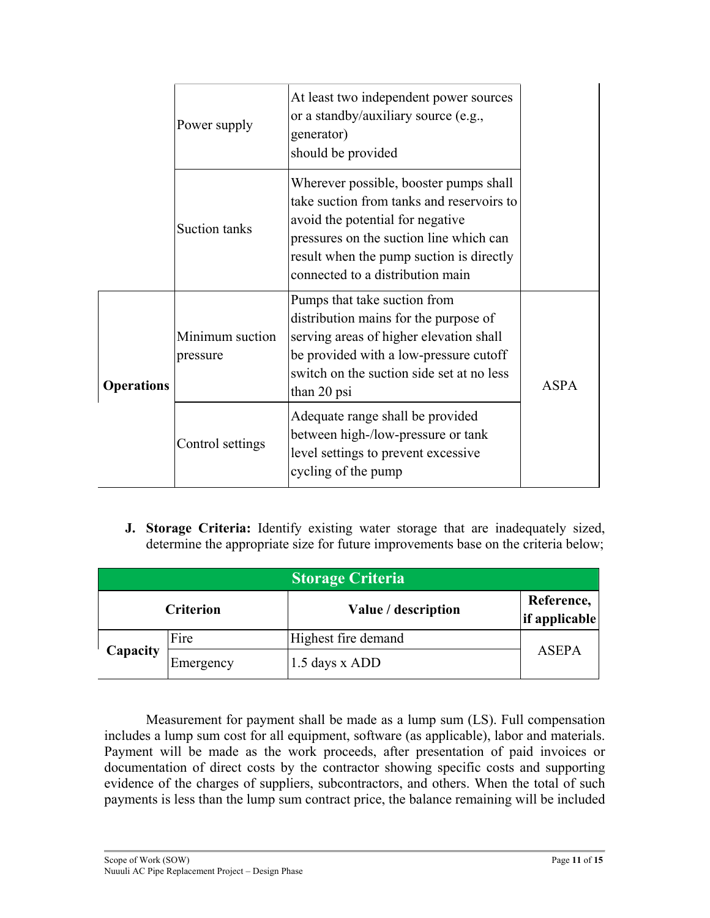|                   | Power supply                | At least two independent power sources<br>or a standby/auxiliary source (e.g.,<br>generator)<br>should be provided                                                                                                                                 |             |
|-------------------|-----------------------------|----------------------------------------------------------------------------------------------------------------------------------------------------------------------------------------------------------------------------------------------------|-------------|
|                   | Suction tanks               | Wherever possible, booster pumps shall<br>take suction from tanks and reservoirs to<br>avoid the potential for negative<br>pressures on the suction line which can<br>result when the pump suction is directly<br>connected to a distribution main |             |
| <b>Operations</b> | Minimum suction<br>pressure | Pumps that take suction from<br>distribution mains for the purpose of<br>serving areas of higher elevation shall<br>be provided with a low-pressure cutoff<br>switch on the suction side set at no less<br>than 20 psi                             | <b>ASPA</b> |
|                   | Control settings            | Adequate range shall be provided<br>between high-/low-pressure or tank<br>level settings to prevent excessive<br>cycling of the pump                                                                                                               |             |

**J. Storage Criteria:** Identify existing water storage that are inadequately sized, determine the appropriate size for future improvements base on the criteria below;

| <b>Storage Criteria</b> |                  |                     |                             |
|-------------------------|------------------|---------------------|-----------------------------|
|                         | <b>Criterion</b> | Value / description | Reference,<br>if applicable |
|                         | Fire             | Highest fire demand |                             |
| Capacity                | Emergency        | 1.5 days x ADD      | ASEPA                       |

Measurement for payment shall be made as a lump sum (LS). Full compensation includes a lump sum cost for all equipment, software (as applicable), labor and materials. Payment will be made as the work proceeds, after presentation of paid invoices or documentation of direct costs by the contractor showing specific costs and supporting evidence of the charges of suppliers, subcontractors, and others. When the total of such payments is less than the lump sum contract price, the balance remaining will be included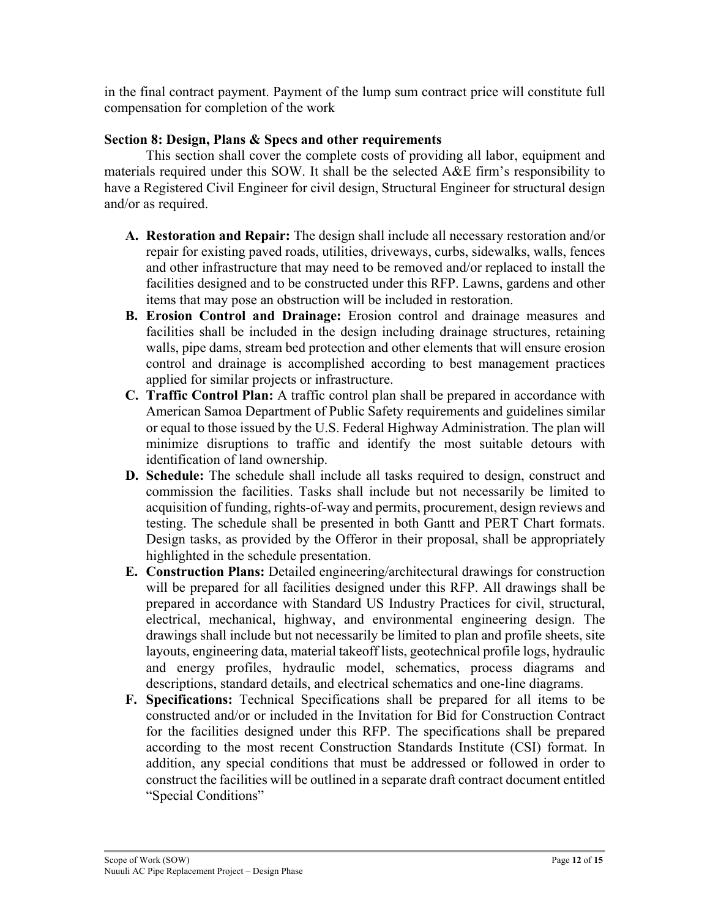in the final contract payment. Payment of the lump sum contract price will constitute full compensation for completion of the work

### **Section 8: Design, Plans & Specs and other requirements**

This section shall cover the complete costs of providing all labor, equipment and materials required under this SOW. It shall be the selected A&E firm's responsibility to have a Registered Civil Engineer for civil design, Structural Engineer for structural design and/or as required.

- **A. Restoration and Repair:** The design shall include all necessary restoration and/or repair for existing paved roads, utilities, driveways, curbs, sidewalks, walls, fences and other infrastructure that may need to be removed and/or replaced to install the facilities designed and to be constructed under this RFP. Lawns, gardens and other items that may pose an obstruction will be included in restoration.
- **B. Erosion Control and Drainage:** Erosion control and drainage measures and facilities shall be included in the design including drainage structures, retaining walls, pipe dams, stream bed protection and other elements that will ensure erosion control and drainage is accomplished according to best management practices applied for similar projects or infrastructure.
- **C. Traffic Control Plan:** A traffic control plan shall be prepared in accordance with American Samoa Department of Public Safety requirements and guidelines similar or equal to those issued by the U.S. Federal Highway Administration. The plan will minimize disruptions to traffic and identify the most suitable detours with identification of land ownership.
- **D. Schedule:** The schedule shall include all tasks required to design, construct and commission the facilities. Tasks shall include but not necessarily be limited to acquisition of funding, rights-of-way and permits, procurement, design reviews and testing. The schedule shall be presented in both Gantt and PERT Chart formats. Design tasks, as provided by the Offeror in their proposal, shall be appropriately highlighted in the schedule presentation.
- **E. Construction Plans:** Detailed engineering/architectural drawings for construction will be prepared for all facilities designed under this RFP. All drawings shall be prepared in accordance with Standard US Industry Practices for civil, structural, electrical, mechanical, highway, and environmental engineering design. The drawings shall include but not necessarily be limited to plan and profile sheets, site layouts, engineering data, material takeoff lists, geotechnical profile logs, hydraulic and energy profiles, hydraulic model, schematics, process diagrams and descriptions, standard details, and electrical schematics and one-line diagrams.
- **F. Specifications:** Technical Specifications shall be prepared for all items to be constructed and/or or included in the Invitation for Bid for Construction Contract for the facilities designed under this RFP. The specifications shall be prepared according to the most recent Construction Standards Institute (CSI) format. In addition, any special conditions that must be addressed or followed in order to construct the facilities will be outlined in a separate draft contract document entitled "Special Conditions"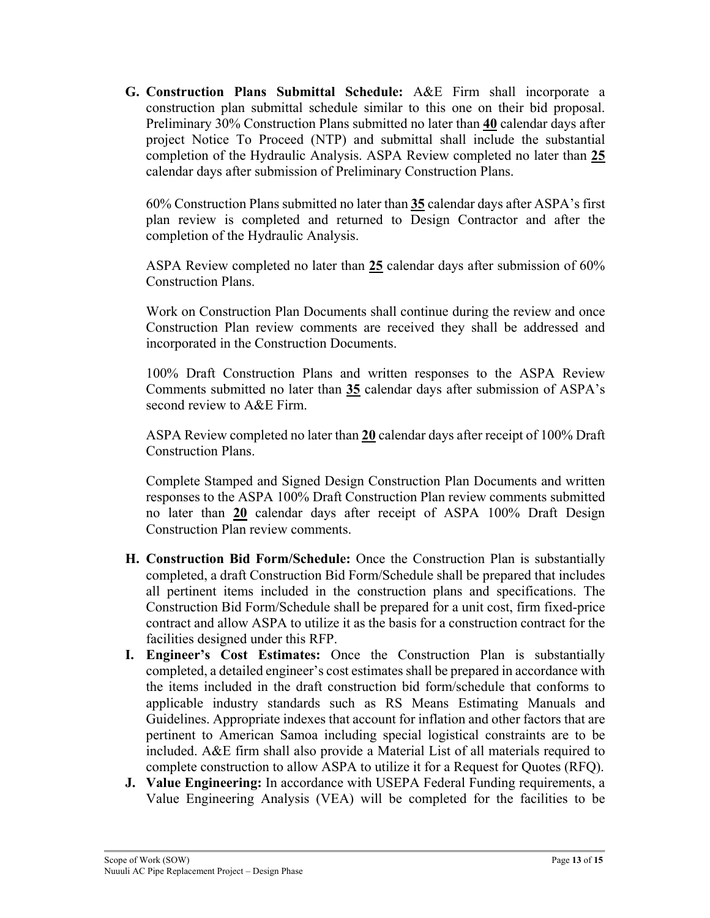**G. Construction Plans Submittal Schedule:** A&E Firm shall incorporate a construction plan submittal schedule similar to this one on their bid proposal. Preliminary 30% Construction Plans submitted no later than **40** calendar days after project Notice To Proceed (NTP) and submittal shall include the substantial completion of the Hydraulic Analysis. ASPA Review completed no later than **25** calendar days after submission of Preliminary Construction Plans.

60% Construction Plans submitted no later than **35** calendar days after ASPA's first plan review is completed and returned to Design Contractor and after the completion of the Hydraulic Analysis.

ASPA Review completed no later than **25** calendar days after submission of 60% Construction Plans.

Work on Construction Plan Documents shall continue during the review and once Construction Plan review comments are received they shall be addressed and incorporated in the Construction Documents.

100% Draft Construction Plans and written responses to the ASPA Review Comments submitted no later than **35** calendar days after submission of ASPA's second review to A&E Firm.

ASPA Review completed no later than **20** calendar days after receipt of 100% Draft Construction Plans.

Complete Stamped and Signed Design Construction Plan Documents and written responses to the ASPA 100% Draft Construction Plan review comments submitted no later than **20** calendar days after receipt of ASPA 100% Draft Design Construction Plan review comments.

- **H. Construction Bid Form/Schedule:** Once the Construction Plan is substantially completed, a draft Construction Bid Form/Schedule shall be prepared that includes all pertinent items included in the construction plans and specifications. The Construction Bid Form/Schedule shall be prepared for a unit cost, firm fixed-price contract and allow ASPA to utilize it as the basis for a construction contract for the facilities designed under this RFP.
- **I. Engineer's Cost Estimates:** Once the Construction Plan is substantially completed, a detailed engineer's cost estimates shall be prepared in accordance with the items included in the draft construction bid form/schedule that conforms to applicable industry standards such as RS Means Estimating Manuals and Guidelines. Appropriate indexes that account for inflation and other factors that are pertinent to American Samoa including special logistical constraints are to be included. A&E firm shall also provide a Material List of all materials required to complete construction to allow ASPA to utilize it for a Request for Quotes (RFQ).
- **J. Value Engineering:** In accordance with USEPA Federal Funding requirements, a Value Engineering Analysis (VEA) will be completed for the facilities to be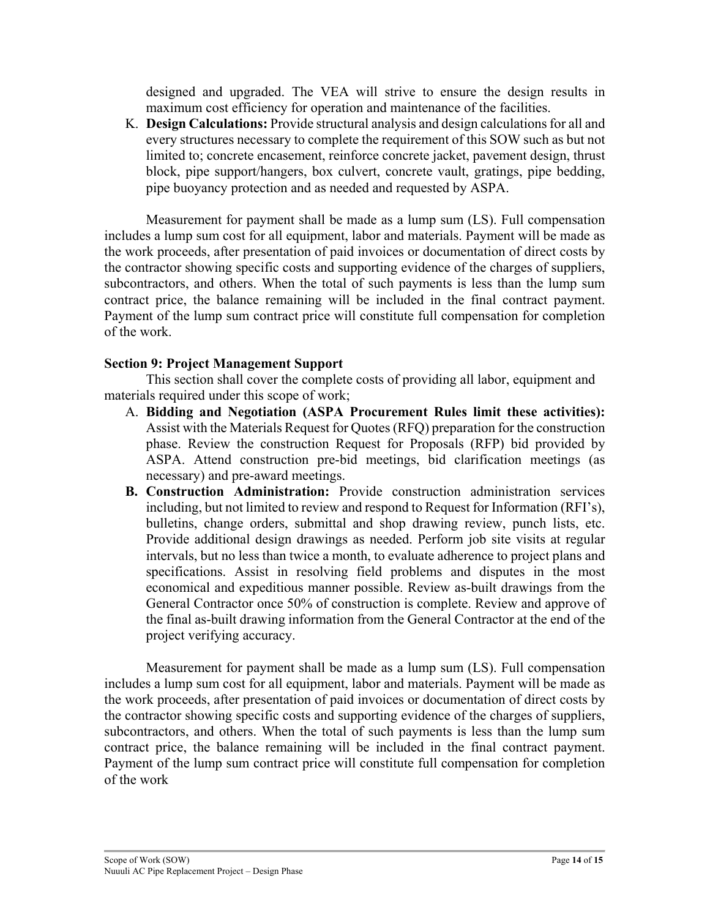designed and upgraded. The VEA will strive to ensure the design results in maximum cost efficiency for operation and maintenance of the facilities.

K. **Design Calculations:** Provide structural analysis and design calculations for all and every structures necessary to complete the requirement of this SOW such as but not limited to; concrete encasement, reinforce concrete jacket, pavement design, thrust block, pipe support/hangers, box culvert, concrete vault, gratings, pipe bedding, pipe buoyancy protection and as needed and requested by ASPA.

Measurement for payment shall be made as a lump sum (LS). Full compensation includes a lump sum cost for all equipment, labor and materials. Payment will be made as the work proceeds, after presentation of paid invoices or documentation of direct costs by the contractor showing specific costs and supporting evidence of the charges of suppliers, subcontractors, and others. When the total of such payments is less than the lump sum contract price, the balance remaining will be included in the final contract payment. Payment of the lump sum contract price will constitute full compensation for completion of the work.

### **Section 9: Project Management Support**

This section shall cover the complete costs of providing all labor, equipment and materials required under this scope of work;

- A. **Bidding and Negotiation (ASPA Procurement Rules limit these activities):**  Assist with the Materials Request for Quotes (RFQ) preparation for the construction phase. Review the construction Request for Proposals (RFP) bid provided by ASPA. Attend construction pre-bid meetings, bid clarification meetings (as necessary) and pre-award meetings.
- **B. Construction Administration:** Provide construction administration services including, but not limited to review and respond to Request for Information (RFI's), bulletins, change orders, submittal and shop drawing review, punch lists, etc. Provide additional design drawings as needed. Perform job site visits at regular intervals, but no less than twice a month, to evaluate adherence to project plans and specifications. Assist in resolving field problems and disputes in the most economical and expeditious manner possible. Review as-built drawings from the General Contractor once 50% of construction is complete. Review and approve of the final as-built drawing information from the General Contractor at the end of the project verifying accuracy.

Measurement for payment shall be made as a lump sum (LS). Full compensation includes a lump sum cost for all equipment, labor and materials. Payment will be made as the work proceeds, after presentation of paid invoices or documentation of direct costs by the contractor showing specific costs and supporting evidence of the charges of suppliers, subcontractors, and others. When the total of such payments is less than the lump sum contract price, the balance remaining will be included in the final contract payment. Payment of the lump sum contract price will constitute full compensation for completion of the work